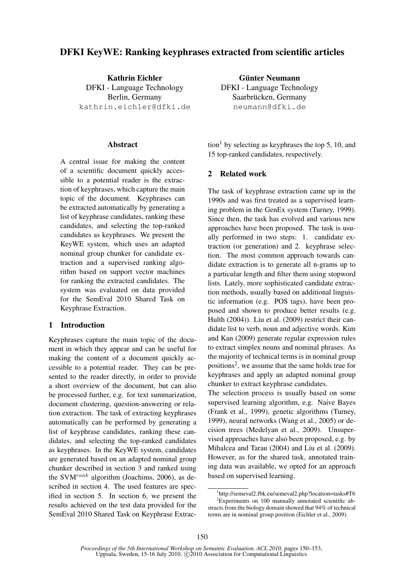# DFKI KeyWE: Ranking keyphrases extracted from scientific articles

Kathrin Eichler DFKI - Language Technology Berlin, Germany kathrin.eichler@dfki.de

#### Abstract

A central issue for making the content of a scientific document quickly accessible to a potential reader is the extraction of keyphrases, which capture the main topic of the document. Keyphrases can be extracted automatically by generating a list of keyphrase candidates, ranking these candidates, and selecting the top-ranked candidates as keyphrases. We present the KeyWE system, which uses an adapted nominal group chunker for candidate extraction and a supervised ranking algorithm based on support vector machines for ranking the extracted candidates. The system was evaluated on data provided for the SemEval 2010 Shared Task on Keyphrase Extraction.

## 1 Introduction

Keyphrases capture the main topic of the document in which they appear and can be useful for making the content of a document quickly accessible to a potential reader. They can be presented to the reader directly, in order to provide a short overview of the document, but can also be processed further, e.g. for text summarization, document clustering, question-answering or relation extraction. The task of extracting keyphrases automatically can be performed by generating a list of keyphrase candidates, ranking these candidates, and selecting the top-ranked candidates as keyphrases. In the KeyWE system, candidates are generated based on an adapted nominal group chunker described in section 3 and ranked using the SVM<sup>rank</sup> algorithm (Joachims, 2006), as described in section 4. The used features are specified in section 5. In section 6, we present the results achieved on the test data provided for the SemEval 2010 Shared Task on Keyphrase Extrac-

Günter Neumann DFKI - Language Technology Saarbrücken, Germany neumann@dfki.de

tion<sup>1</sup> by selecting as keyphrases the top 5, 10, and 15 top-ranked candidates, respectively.

#### 2 Related work

The task of keyphrase extraction came up in the 1990s and was first treated as a supervised learning problem in the GenEx system (Turney, 1999). Since then, the task has evolved and various new approaches have been proposed. The task is usually performed in two steps: 1. candidate extraction (or generation) and 2. keyphrase selection. The most common approach towards candidate extraction is to generate all n-grams up to a particular length and filter them using stopword lists. Lately, more sophisticated candidate extraction methods, usually based on additional linguistic information (e.g. POS tags), have been proposed and shown to produce better results (e.g. Hulth (2004)). Liu et al. (2009) restrict their candidate list to verb, noun and adjective words. Kim and Kan (2009) generate regular expression rules to extract simplex nouns and nominal phrases. As the majority of technical terms is in nominal group positions<sup>2</sup>, we assume that the same holds true for keyphrases and apply an adapted nominal group chunker to extract keyphrase candidates.

The selection process is usually based on some supervised learning algorithm, e.g. Naive Bayes (Frank et al., 1999), genetic algorithms (Turney, 1999), neural networks (Wang et al., 2005) or decision trees (Medelyan et al., 2009). Unsupervised approaches have also been proposed, e.g. by Mihalcea and Tarau (2004) and Liu et al. (2009). However, as for the shared task, annotated training data was available, we opted for an approach based on supervised learning.

<sup>1</sup> http://semeval2.fbk.eu/semeval2.php?location=tasks#T6 <sup>2</sup>Experiments on 100 manually annotated scientific abstracts from the biology domain showed that 94% of technical terms are in nominal group position (Eichler et al., 2009).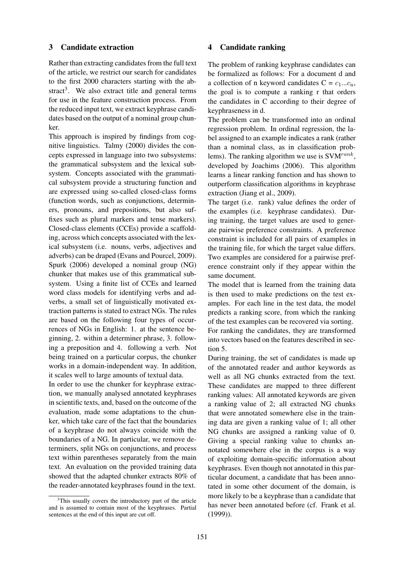#### 3 Candidate extraction

Rather than extracting candidates from the full text of the article, we restrict our search for candidates to the first 2000 characters starting with the abstract<sup>3</sup>. We also extract title and general terms for use in the feature construction process. From the reduced input text, we extract keyphrase candidates based on the output of a nominal group chunker.

This approach is inspired by findings from cognitive linguistics. Talmy (2000) divides the concepts expressed in language into two subsystems: the grammatical subsystem and the lexical subsystem. Concepts associated with the grammatical subsystem provide a structuring function and are expressed using so-called closed-class forms (function words, such as conjunctions, determiners, pronouns, and prepositions, but also suffixes such as plural markers and tense markers). Closed-class elements (CCEs) provide a scaffolding, across which concepts associated with the lexical subsystem (i.e. nouns, verbs, adjectives and adverbs) can be draped (Evans and Pourcel, 2009). Spurk (2006) developed a nominal group (NG) chunker that makes use of this grammatical subsystem. Using a finite list of CCEs and learned word class models for identifying verbs and adverbs, a small set of linguistically motivated extraction patterns is stated to extract NGs. The rules are based on the following four types of occurrences of NGs in English: 1. at the sentence beginning, 2. within a determiner phrase, 3. following a preposition and 4. following a verb. Not being trained on a particular corpus, the chunker works in a domain-independent way. In addition, it scales well to large amounts of textual data.

In order to use the chunker for keyphrase extraction, we manually analysed annotated keyphrases in scientific texts, and, based on the outcome of the evaluation, made some adaptations to the chunker, which take care of the fact that the boundaries of a keyphrase do not always coincide with the boundaries of a NG. In particular, we remove determiners, split NGs on conjunctions, and process text within parentheses separately from the main text. An evaluation on the provided training data showed that the adapted chunker extracts 80% of the reader-annotated keyphrases found in the text.

 $3$ This usually covers the introductory part of the article and is assumed to contain most of the keyphrases. Partial sentences at the end of this input are cut off.

#### 4 Candidate ranking

The problem of ranking keyphrase candidates can be formalized as follows: For a document d and a collection of n keyword candidates  $C = c_1...c_n$ , the goal is to compute a ranking r that orders the candidates in C according to their degree of keyphraseness in d.

The problem can be transformed into an ordinal regression problem. In ordinal regression, the label assigned to an example indicates a rank (rather than a nominal class, as in classification problems). The ranking algorithm we use is  $\text{SVM}^{rank}$ , developed by Joachims (2006). This algorithm learns a linear ranking function and has shown to outperform classification algorithms in keyphrase extraction (Jiang et al., 2009).

The target (i.e. rank) value defines the order of the examples (i.e. keyphrase candidates). During training, the target values are used to generate pairwise preference constraints. A preference constraint is included for all pairs of examples in the training file, for which the target value differs. Two examples are considered for a pairwise preference constraint only if they appear within the same document.

The model that is learned from the training data is then used to make predictions on the test examples. For each line in the test data, the model predicts a ranking score, from which the ranking of the test examples can be recovered via sorting. For ranking the candidates, they are transformed into vectors based on the features described in section 5.

During training, the set of candidates is made up of the annotated reader and author keywords as well as all NG chunks extracted from the text. These candidates are mapped to three different ranking values: All annotated keywords are given a ranking value of 2; all extracted NG chunks that were annotated somewhere else in the training data are given a ranking value of 1; all other NG chunks are assigned a ranking value of 0. Giving a special ranking value to chunks annotated somewhere else in the corpus is a way of exploiting domain-specific information about keyphrases. Even though not annotated in this particular document, a candidate that has been annotated in some other document of the domain, is more likely to be a keyphrase than a candidate that has never been annotated before (cf. Frank et al. (1999)).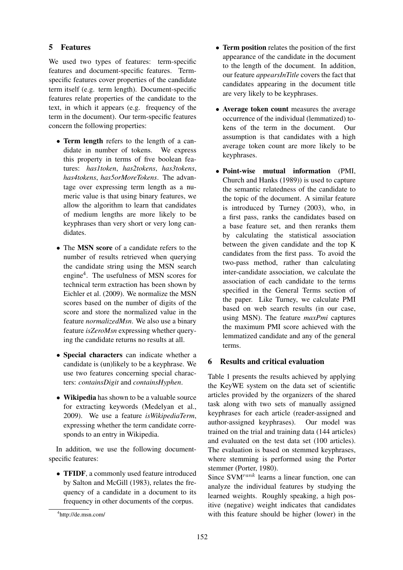# 5 Features

We used two types of features: term-specific features and document-specific features. Termspecific features cover properties of the candidate term itself (e.g. term length). Document-specific features relate properties of the candidate to the text, in which it appears (e.g. frequency of the term in the document). Our term-specific features concern the following properties:

- Term length refers to the length of a candidate in number of tokens. We express this property in terms of five boolean features: *has1token*, *has2tokens*, *has3tokens*, *has4tokens*, *has5orMoreTokens*. The advantage over expressing term length as a numeric value is that using binary features, we allow the algorithm to learn that candidates of medium lengths are more likely to be keyphrases than very short or very long candidates.
- The MSN score of a candidate refers to the number of results retrieved when querying the candidate string using the MSN search engine<sup>4</sup> . The usefulness of MSN scores for technical term extraction has been shown by Eichler et al. (2009). We normalize the MSN scores based on the number of digits of the score and store the normalized value in the feature *normalizedMsn*. We also use a binary feature *isZeroMsn* expressing whether querying the candidate returns no results at all.
- Special characters can indicate whether a candidate is (un)likely to be a keyphrase. We use two features concerning special characters: *containsDigit* and *containsHyphen*.
- Wikipedia has shown to be a valuable source for extracting keywords (Medelyan et al., 2009). We use a feature *isWikipediaTerm*, expressing whether the term candidate corresponds to an entry in Wikipedia.

In addition, we use the following documentspecific features:

• TFIDF, a commonly used feature introduced by Salton and McGill (1983), relates the frequency of a candidate in a document to its frequency in other documents of the corpus.

- Term position relates the position of the first appearance of the candidate in the document to the length of the document. In addition, our feature *appearsInTitle* covers the fact that candidates appearing in the document title are very likely to be keyphrases.
- Average token count measures the average occurrence of the individual (lemmatized) tokens of the term in the document. Our assumption is that candidates with a high average token count are more likely to be keyphrases.
- Point-wise mutual information (PMI, Church and Hanks (1989)) is used to capture the semantic relatedness of the candidate to the topic of the document. A similar feature is introduced by Turney (2003), who, in a first pass, ranks the candidates based on a base feature set, and then reranks them by calculating the statistical association between the given candidate and the top K candidates from the first pass. To avoid the two-pass method, rather than calculating inter-candidate association, we calculate the association of each candidate to the terms specified in the General Terms section of the paper. Like Turney, we calculate PMI based on web search results (in our case, using MSN). The feature *maxPmi* captures the maximum PMI score achieved with the lemmatized candidate and any of the general terms.

### 6 Results and critical evaluation

Table 1 presents the results achieved by applying the KeyWE system on the data set of scientific articles provided by the organizers of the shared task along with two sets of manually assigned keyphrases for each article (reader-assigned and author-assigned keyphrases). Our model was trained on the trial and training data (144 articles) and evaluated on the test data set (100 articles). The evaluation is based on stemmed keyphrases, where stemming is performed using the Porter stemmer (Porter, 1980).

Since  $\text{SVM}^{rank}$  learns a linear function, one can analyze the individual features by studying the learned weights. Roughly speaking, a high positive (negative) weight indicates that candidates with this feature should be higher (lower) in the

<sup>4</sup> http://de.msn.com/